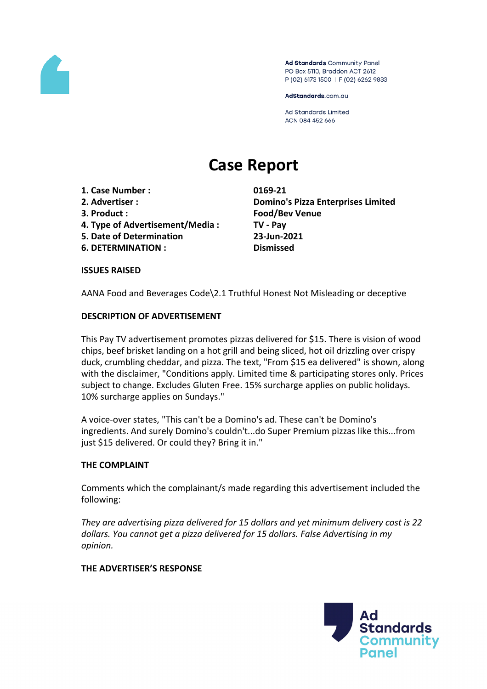

Ad Standards Community Panel PO Box 5110, Braddon ACT 2612 P (02) 6173 1500 | F (02) 6262 9833

AdStandards.com.au

**Ad Standards Limited** ACN 084 452 666

# **Case Report**

- **1. Case Number : 0169-21**
- 
- 
- **4. Type of Advertisement/Media : TV - Pay**
- **5. Date of Determination 23-Jun-2021**
- **6. DETERMINATION : Dismissed**

**2. Advertiser : Domino's Pizza Enterprises Limited 3. Product : Food/Bev Venue**

# **ISSUES RAISED**

AANA Food and Beverages Code\2.1 Truthful Honest Not Misleading or deceptive

# **DESCRIPTION OF ADVERTISEMENT**

This Pay TV advertisement promotes pizzas delivered for \$15. There is vision of wood chips, beef brisket landing on a hot grill and being sliced, hot oil drizzling over crispy duck, crumbling cheddar, and pizza. The text, "From \$15 ea delivered" is shown, along with the disclaimer, "Conditions apply. Limited time & participating stores only. Prices subject to change. Excludes Gluten Free. 15% surcharge applies on public holidays. 10% surcharge applies on Sundays."

A voice-over states, "This can't be a Domino's ad. These can't be Domino's ingredients. And surely Domino's couldn't...do Super Premium pizzas like this...from just \$15 delivered. Or could they? Bring it in."

# **THE COMPLAINT**

Comments which the complainant/s made regarding this advertisement included the following:

*They are advertising pizza delivered for 15 dollars and yet minimum delivery cost is 22 dollars. You cannot get a pizza delivered for 15 dollars. False Advertising in my opinion.*

# **THE ADVERTISER'S RESPONSE**

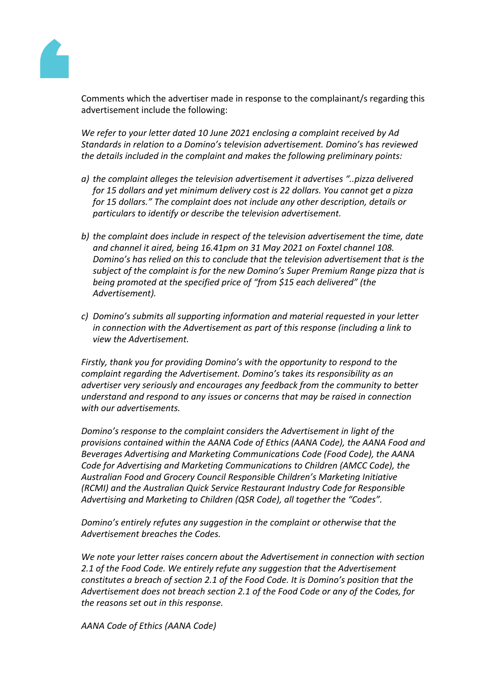

Comments which the advertiser made in response to the complainant/s regarding this advertisement include the following:

*We refer to your letter dated 10 June 2021 enclosing a complaint received by Ad Standards in relation to a Domino's television advertisement. Domino's has reviewed the details included in the complaint and makes the following preliminary points:*

- *a) the complaint alleges the television advertisement it advertises "..pizza delivered for 15 dollars and yet minimum delivery cost is 22 dollars. You cannot get a pizza for 15 dollars." The complaint does not include any other description, details or particulars to identify or describe the television advertisement.*
- *b) the complaint does include in respect of the television advertisement the time, date and channel it aired, being 16.41pm on 31 May 2021 on Foxtel channel 108. Domino's has relied on this to conclude that the television advertisement that is the subject of the complaint is for the new Domino's Super Premium Range pizza that is being promoted at the specified price of "from \$15 each delivered" (the Advertisement).*
- *c) Domino's submits all supporting information and material requested in your letter in connection with the Advertisement as part of this response (including a link to view the Advertisement.*

*Firstly, thank you for providing Domino's with the opportunity to respond to the complaint regarding the Advertisement. Domino's takes its responsibility as an advertiser very seriously and encourages any feedback from the community to better understand and respond to any issues or concerns that may be raised in connection with our advertisements.*

*Domino's response to the complaint considers the Advertisement in light of the provisions contained within the AANA Code of Ethics (AANA Code), the AANA Food and Beverages Advertising and Marketing Communications Code (Food Code), the AANA Code for Advertising and Marketing Communications to Children (AMCC Code), the Australian Food and Grocery Council Responsible Children's Marketing Initiative (RCMI) and the Australian Quick Service Restaurant Industry Code for Responsible Advertising and Marketing to Children (QSR Code), all together the "Codes".*

*Domino's entirely refutes any suggestion in the complaint or otherwise that the Advertisement breaches the Codes.*

*We note your letter raises concern about the Advertisement in connection with section 2.1 of the Food Code. We entirely refute any suggestion that the Advertisement constitutes a breach of section 2.1 of the Food Code. It is Domino's position that the Advertisement does not breach section 2.1 of the Food Code or any of the Codes, for the reasons set out in this response.*

*AANA Code of Ethics (AANA Code)*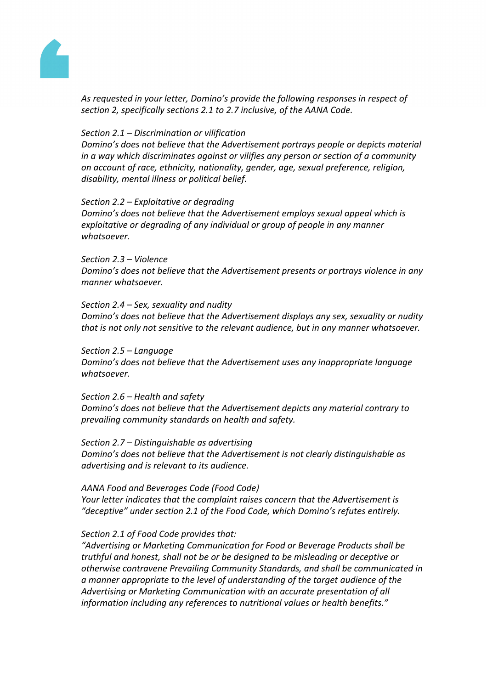

*As requested in your letter, Domino's provide the following responses in respect of section 2, specifically sections 2.1 to 2.7 inclusive, of the AANA Code.*

### *Section 2.1 – Discrimination or vilification*

*Domino's does not believe that the Advertisement portrays people or depicts material in a way which discriminates against or vilifies any person or section of a community on account of race, ethnicity, nationality, gender, age, sexual preference, religion, disability, mental illness or political belief.*

#### *Section 2.2 – Exploitative or degrading*

*Domino's does not believe that the Advertisement employs sexual appeal which is exploitative or degrading of any individual or group of people in any manner whatsoever.*

#### *Section 2.3 – Violence*

*Domino's does not believe that the Advertisement presents or portrays violence in any manner whatsoever.*

#### *Section 2.4 – Sex, sexuality and nudity*

*Domino's does not believe that the Advertisement displays any sex, sexuality or nudity that is not only not sensitive to the relevant audience, but in any manner whatsoever.*

#### *Section 2.5 – Language*

*Domino's does not believe that the Advertisement uses any inappropriate language whatsoever.*

#### *Section 2.6 – Health and safety*

*Domino's does not believe that the Advertisement depicts any material contrary to prevailing community standards on health and safety.*

# *Section 2.7 – Distinguishable as advertising*

*Domino's does not believe that the Advertisement is not clearly distinguishable as advertising and is relevant to its audience.*

# *AANA Food and Beverages Code (Food Code)*

*Your letter indicates that the complaint raises concern that the Advertisement is "deceptive" under section 2.1 of the Food Code, which Domino's refutes entirely.*

# *Section 2.1 of Food Code provides that:*

*"Advertising or Marketing Communication for Food or Beverage Products shall be truthful and honest, shall not be or be designed to be misleading or deceptive or otherwise contravene Prevailing Community Standards, and shall be communicated in a manner appropriate to the level of understanding of the target audience of the Advertising or Marketing Communication with an accurate presentation of all information including any references to nutritional values or health benefits."*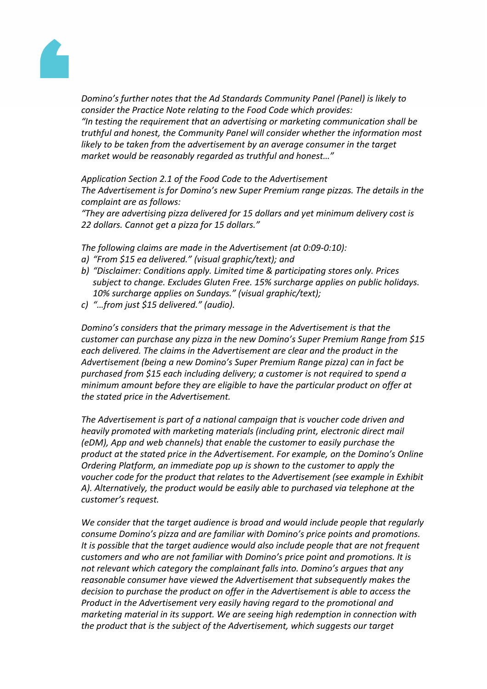

*Domino's further notes that the Ad Standards Community Panel (Panel) is likely to consider the Practice Note relating to the Food Code which provides: "In testing the requirement that an advertising or marketing communication shall be truthful and honest, the Community Panel will consider whether the information most likely to be taken from the advertisement by an average consumer in the target market would be reasonably regarded as truthful and honest…"*

*Application Section 2.1 of the Food Code to the Advertisement The Advertisement is for Domino's new Super Premium range pizzas. The details in the complaint are as follows:*

*"They are advertising pizza delivered for 15 dollars and yet minimum delivery cost is 22 dollars. Cannot get a pizza for 15 dollars."*

*The following claims are made in the Advertisement (at 0:09-0:10):*

- *a) "From \$15 ea delivered." (visual graphic/text); and*
- *b) "Disclaimer: Conditions apply. Limited time & participating stores only. Prices subject to change. Excludes Gluten Free. 15% surcharge applies on public holidays. 10% surcharge applies on Sundays." (visual graphic/text);*
- *c) "…from just \$15 delivered." (audio).*

*Domino's considers that the primary message in the Advertisement is that the customer can purchase any pizza in the new Domino's Super Premium Range from \$15 each delivered. The claims in the Advertisement are clear and the product in the Advertisement (being a new Domino's Super Premium Range pizza) can in fact be purchased from \$15 each including delivery; a customer is not required to spend a minimum amount before they are eligible to have the particular product on offer at the stated price in the Advertisement.*

*The Advertisement is part of a national campaign that is voucher code driven and heavily promoted with marketing materials (including print, electronic direct mail (eDM), App and web channels) that enable the customer to easily purchase the product at the stated price in the Advertisement. For example, on the Domino's Online Ordering Platform, an immediate pop up is shown to the customer to apply the voucher code for the product that relates to the Advertisement (see example in Exhibit A). Alternatively, the product would be easily able to purchased via telephone at the customer's request.* 

*We consider that the target audience is broad and would include people that regularly consume Domino's pizza and are familiar with Domino's price points and promotions. It is possible that the target audience would also include people that are not frequent customers and who are not familiar with Domino's price point and promotions. It is not relevant which category the complainant falls into. Domino's argues that any reasonable consumer have viewed the Advertisement that subsequently makes the decision to purchase the product on offer in the Advertisement is able to access the Product in the Advertisement very easily having regard to the promotional and marketing material in its support. We are seeing high redemption in connection with the product that is the subject of the Advertisement, which suggests our target*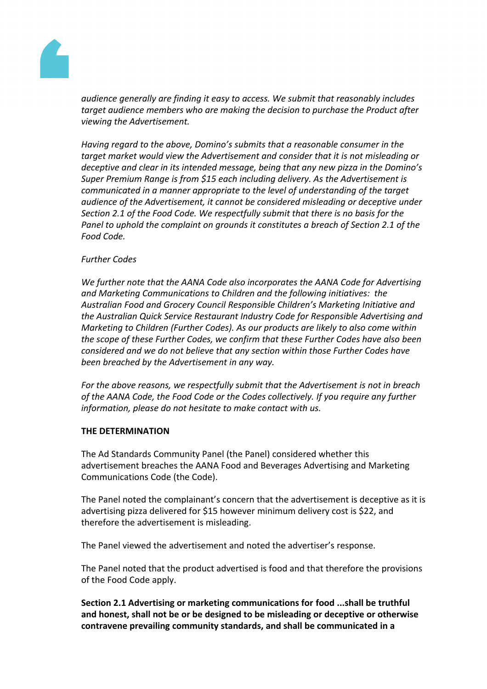

*audience generally are finding it easy to access. We submit that reasonably includes target audience members who are making the decision to purchase the Product after viewing the Advertisement.*

*Having regard to the above, Domino's submits that a reasonable consumer in the target market would view the Advertisement and consider that it is not misleading or deceptive and clear in its intended message, being that any new pizza in the Domino's Super Premium Range is from \$15 each including delivery. As the Advertisement is communicated in a manner appropriate to the level of understanding of the target audience of the Advertisement, it cannot be considered misleading or deceptive under Section 2.1 of the Food Code. We respectfully submit that there is no basis for the Panel to uphold the complaint on grounds it constitutes a breach of Section 2.1 of the Food Code.*

# *Further Codes*

*We further note that the AANA Code also incorporates the AANA Code for Advertising and Marketing Communications to Children and the following initiatives: the Australian Food and Grocery Council Responsible Children's Marketing Initiative and the Australian Quick Service Restaurant Industry Code for Responsible Advertising and Marketing to Children (Further Codes). As our products are likely to also come within the scope of these Further Codes, we confirm that these Further Codes have also been considered and we do not believe that any section within those Further Codes have been breached by the Advertisement in any way.*

*For the above reasons, we respectfully submit that the Advertisement is not in breach of the AANA Code, the Food Code or the Codes collectively. If you require any further information, please do not hesitate to make contact with us.*

# **THE DETERMINATION**

The Ad Standards Community Panel (the Panel) considered whether this advertisement breaches the AANA Food and Beverages Advertising and Marketing Communications Code (the Code).

The Panel noted the complainant's concern that the advertisement is deceptive as it is advertising pizza delivered for \$15 however minimum delivery cost is \$22, and therefore the advertisement is misleading.

The Panel viewed the advertisement and noted the advertiser's response.

The Panel noted that the product advertised is food and that therefore the provisions of the Food Code apply.

**Section 2.1 Advertising or marketing communications for food ...shall be truthful and honest, shall not be or be designed to be misleading or deceptive or otherwise contravene prevailing community standards, and shall be communicated in a**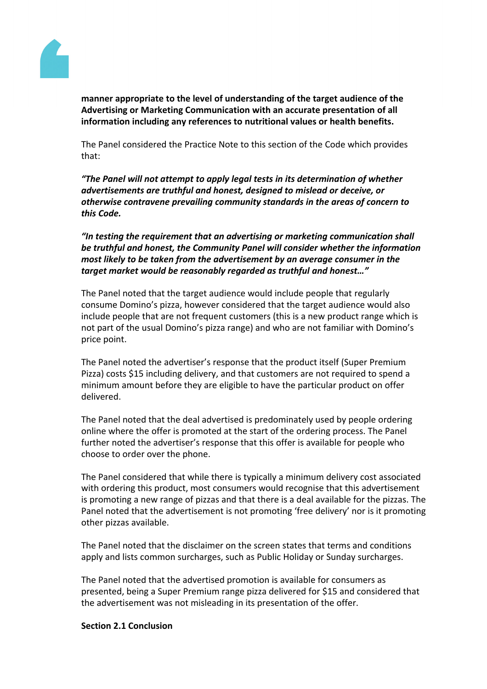

**manner appropriate to the level of understanding of the target audience of the Advertising or Marketing Communication with an accurate presentation of all information including any references to nutritional values or health benefits.**

The Panel considered the Practice Note to this section of the Code which provides that:

*"The Panel will not attempt to apply legal tests in its determination of whether advertisements are truthful and honest, designed to mislead or deceive, or otherwise contravene prevailing community standards in the areas of concern to this Code.*

*"In testing the requirement that an advertising or marketing communication shall be truthful and honest, the Community Panel will consider whether the information most likely to be taken from the advertisement by an average consumer in the target market would be reasonably regarded as truthful and honest…"*

The Panel noted that the target audience would include people that regularly consume Domino's pizza, however considered that the target audience would also include people that are not frequent customers (this is a new product range which is not part of the usual Domino's pizza range) and who are not familiar with Domino's price point.

The Panel noted the advertiser's response that the product itself (Super Premium Pizza) costs \$15 including delivery, and that customers are not required to spend a minimum amount before they are eligible to have the particular product on offer delivered.

The Panel noted that the deal advertised is predominately used by people ordering online where the offer is promoted at the start of the ordering process. The Panel further noted the advertiser's response that this offer is available for people who choose to order over the phone.

The Panel considered that while there is typically a minimum delivery cost associated with ordering this product, most consumers would recognise that this advertisement is promoting a new range of pizzas and that there is a deal available for the pizzas. The Panel noted that the advertisement is not promoting 'free delivery' nor is it promoting other pizzas available.

The Panel noted that the disclaimer on the screen states that terms and conditions apply and lists common surcharges, such as Public Holiday or Sunday surcharges.

The Panel noted that the advertised promotion is available for consumers as presented, being a Super Premium range pizza delivered for \$15 and considered that the advertisement was not misleading in its presentation of the offer.

# **Section 2.1 Conclusion**